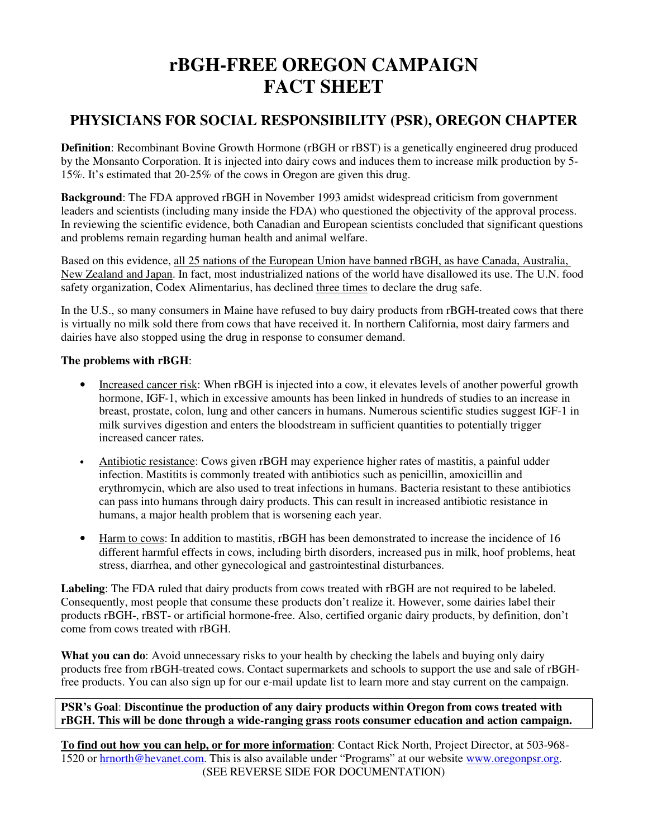# **rBGH-FREE OREGON CAMPAIGN FACT SHEET**

## **PHYSICIANS FOR SOCIAL RESPONSIBILITY (PSR), OREGON CHAPTER**

**Definition**: Recombinant Bovine Growth Hormone (rBGH or rBST) is a genetically engineered drug produced by the Monsanto Corporation. It is injected into dairy cows and induces them to increase milk production by 5- 15%. It's estimated that 20-25% of the cows in Oregon are given this drug.

**Background**: The FDA approved rBGH in November 1993 amidst widespread criticism from government leaders and scientists (including many inside the FDA) who questioned the objectivity of the approval process. In reviewing the scientific evidence, both Canadian and European scientists concluded that significant questions and problems remain regarding human health and animal welfare.

Based on this evidence, all 25 nations of the European Union have banned rBGH, as have Canada, Australia, New Zealand and Japan. In fact, most industrialized nations of the world have disallowed its use. The U.N. food safety organization, Codex Alimentarius, has declined three times to declare the drug safe.

In the U.S., so many consumers in Maine have refused to buy dairy products from rBGH-treated cows that there is virtually no milk sold there from cows that have received it. In northern California, most dairy farmers and dairies have also stopped using the drug in response to consumer demand.

### **The problems with rBGH**:

- Increased cancer risk: When rBGH is injected into a cow, it elevates levels of another powerful growth hormone, IGF-1, which in excessive amounts has been linked in hundreds of studies to an increase in breast, prostate, colon, lung and other cancers in humans. Numerous scientific studies suggest IGF-1 in milk survives digestion and enters the bloodstream in sufficient quantities to potentially trigger increased cancer rates.
- Antibiotic resistance: Cows given rBGH may experience higher rates of mastitis, a painful udder infection. Mastitits is commonly treated with antibiotics such as penicillin, amoxicillin and erythromycin, which are also used to treat infections in humans. Bacteria resistant to these antibiotics can pass into humans through dairy products. This can result in increased antibiotic resistance in humans, a major health problem that is worsening each year.
- Harm to cows: In addition to mastitis, rBGH has been demonstrated to increase the incidence of 16 different harmful effects in cows, including birth disorders, increased pus in milk, hoof problems, heat stress, diarrhea, and other gynecological and gastrointestinal disturbances.

**Labeling**: The FDA ruled that dairy products from cows treated with rBGH are not required to be labeled. Consequently, most people that consume these products don't realize it. However, some dairies label their products rBGH-, rBST- or artificial hormone-free. Also, certified organic dairy products, by definition, don't come from cows treated with rBGH.

**What you can do**: Avoid unnecessary risks to your health by checking the labels and buying only dairy products free from rBGH-treated cows. Contact supermarkets and schools to support the use and sale of rBGHfree products. You can also sign up for our e-mail update list to learn more and stay current on the campaign.

### **PSR's Goal**: **Discontinue the production of any dairy products within Oregon from cows treated with rBGH. This will be done through a wide-ranging grass roots consumer education and action campaign.**

**To find out how you can help, or for more information**: Contact Rick North, Project Director, at 503-968- 1520 or hrnorth@hevanet.com. This is also available under "Programs" at our website www.oregonpsr.org. (SEE REVERSE SIDE FOR DOCUMENTATION)